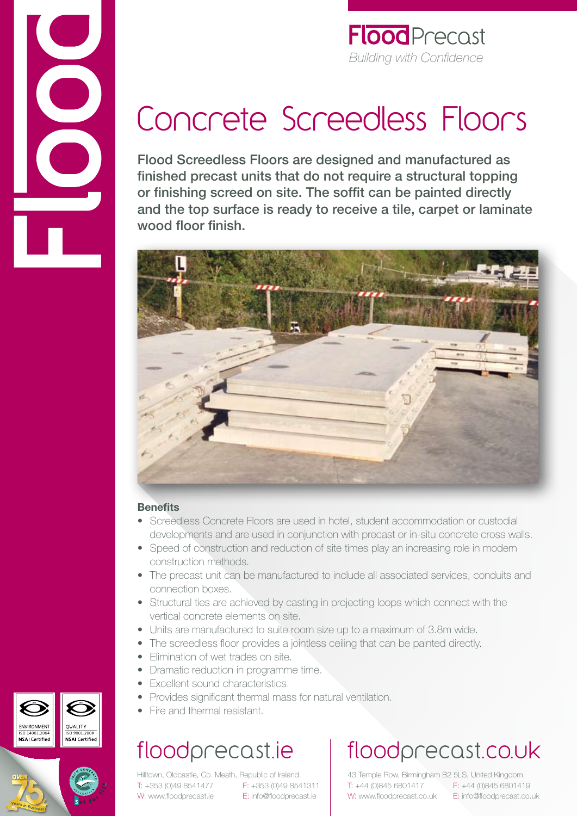

# Concrete Screedless Floors

Flood Screedless Floors are designed and manufactured as finished precast units that do not require a structural topping or finishing screed on site. The soffit can be painted directly and the top surface is ready to receive a tile, carpet or laminate wood floor finish.



#### **Benefits**

- Screedless Concrete Floors are used in hotel, student accommodation or custodial developments and are used in conjunction with precast or in-situ concrete cross walls.
- Speed of construction and reduction of site times play an increasing role in modern construction methods.
- The precast unit can be manufactured to include all associated services, conduits and connection boxes.
- Structural ties are achieved by casting in projecting loops which connect with the vertical concrete elements on site.
- Units are manufactured to suite room size up to a maximum of 3.8m wide.
- The screedless floor provides a jointless ceiling that can be painted directly.
- Elimination of wet trades on site.
- Dramatic reduction in programme time.
- Excellent sound characteristics.
- Provides significant thermal mass for natural ventilation.
- Fire and thermal resistant.

### floodprecast.ie

Hilltown, Oldcastle, Co. Meath, Republic of Ireland. T: +353 (0)49 8541477 F: +353 (0)49 8541311 W: www.floodprecast.ie E: info@floodprecast.ie

## floodprecast.co.uk

43 Temple Row, Birmingham B2 5LS, United Kingdom. T: +44 (0)845 6801417 F: +44 (0)845 6801419 W: www.floodprecast.co.uk E: info@floodprecast.co.uk